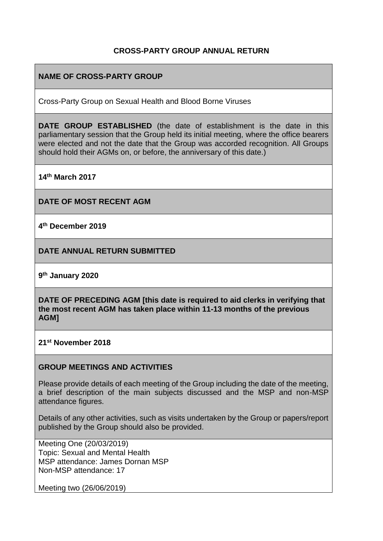### **CROSS-PARTY GROUP ANNUAL RETURN**

### **NAME OF CROSS-PARTY GROUP**

Cross-Party Group on Sexual Health and Blood Borne Viruses

**DATE GROUP ESTABLISHED** (the date of establishment is the date in this parliamentary session that the Group held its initial meeting, where the office bearers were elected and not the date that the Group was accorded recognition. All Groups should hold their AGMs on, or before, the anniversary of this date.)

**14th March 2017**

**DATE OF MOST RECENT AGM**

**4 th December 2019**

**DATE ANNUAL RETURN SUBMITTED**

**9 th January 2020**

**DATE OF PRECEDING AGM [this date is required to aid clerks in verifying that the most recent AGM has taken place within 11-13 months of the previous AGM]**

**21st November 2018**

#### **GROUP MEETINGS AND ACTIVITIES**

Please provide details of each meeting of the Group including the date of the meeting, a brief description of the main subjects discussed and the MSP and non-MSP attendance figures.

Details of any other activities, such as visits undertaken by the Group or papers/report published by the Group should also be provided.

Meeting One (20/03/2019) Topic: Sexual and Mental Health MSP attendance: James Dornan MSP Non-MSP attendance: 17

Meeting two (26/06/2019)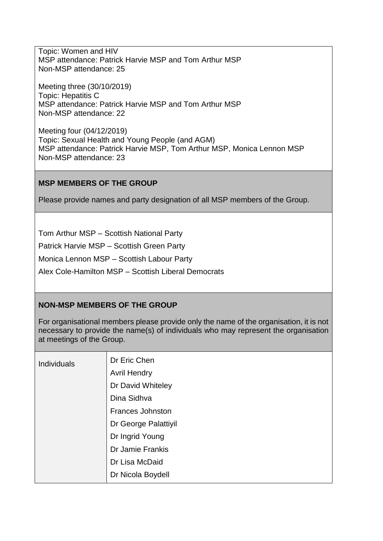Topic: Women and HIV MSP attendance: Patrick Harvie MSP and Tom Arthur MSP Non-MSP attendance: 25

Meeting three (30/10/2019) Topic: Hepatitis C MSP attendance: Patrick Harvie MSP and Tom Arthur MSP Non-MSP attendance: 22

Meeting four (04/12/2019) Topic: Sexual Health and Young People (and AGM) MSP attendance: Patrick Harvie MSP, Tom Arthur MSP, Monica Lennon MSP Non-MSP attendance: 23

### **MSP MEMBERS OF THE GROUP**

Please provide names and party designation of all MSP members of the Group.

Tom Arthur MSP – Scottish National Party

Patrick Harvie MSP – Scottish Green Party

Monica Lennon MSP – Scottish Labour Party

Alex Cole-Hamilton MSP – Scottish Liberal Democrats

## **NON-MSP MEMBERS OF THE GROUP**

For organisational members please provide only the name of the organisation, it is not necessary to provide the name(s) of individuals who may represent the organisation at meetings of the Group.

| <b>Individuals</b> | Dr Eric Chen            |
|--------------------|-------------------------|
|                    | <b>Avril Hendry</b>     |
|                    | Dr David Whiteley       |
|                    | Dina Sidhva             |
|                    | <b>Frances Johnston</b> |
|                    | Dr George Palattiyil    |
|                    | Dr Ingrid Young         |
|                    | Dr Jamie Frankis        |
|                    | Dr Lisa McDaid          |
|                    | Dr Nicola Boydell       |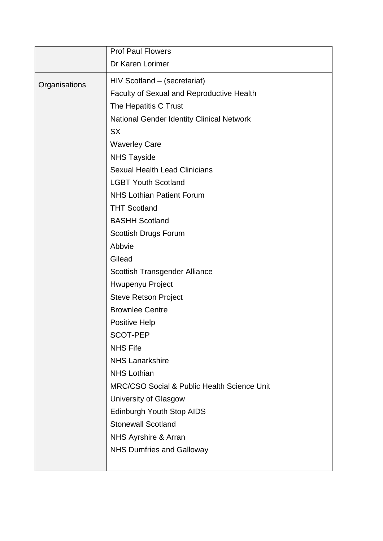|               | <b>Prof Paul Flowers</b>                         |
|---------------|--------------------------------------------------|
|               | Dr Karen Lorimer                                 |
| Organisations | HIV Scotland - (secretariat)                     |
|               | Faculty of Sexual and Reproductive Health        |
|               | The Hepatitis C Trust                            |
|               | <b>National Gender Identity Clinical Network</b> |
|               | <b>SX</b>                                        |
|               | <b>Waverley Care</b>                             |
|               | <b>NHS Tayside</b>                               |
|               | <b>Sexual Health Lead Clinicians</b>             |
|               | <b>LGBT Youth Scotland</b>                       |
|               | <b>NHS Lothian Patient Forum</b>                 |
|               | <b>THT Scotland</b>                              |
|               | <b>BASHH Scotland</b>                            |
|               | Scottish Drugs Forum                             |
|               | Abbvie                                           |
|               | Gilead                                           |
|               | Scottish Transgender Alliance                    |
|               | Hwupenyu Project                                 |
|               | <b>Steve Retson Project</b>                      |
|               | <b>Brownlee Centre</b>                           |
|               | <b>Positive Help</b>                             |
|               | <b>SCOT-PEP</b>                                  |
|               | <b>NHS Fife</b>                                  |
|               | <b>NHS Lanarkshire</b>                           |
|               | <b>NHS Lothian</b>                               |
|               | MRC/CSO Social & Public Health Science Unit      |
|               | University of Glasgow                            |
|               | Edinburgh Youth Stop AIDS                        |
|               | <b>Stonewall Scotland</b>                        |
|               | NHS Ayrshire & Arran                             |
|               | <b>NHS Dumfries and Galloway</b>                 |
|               |                                                  |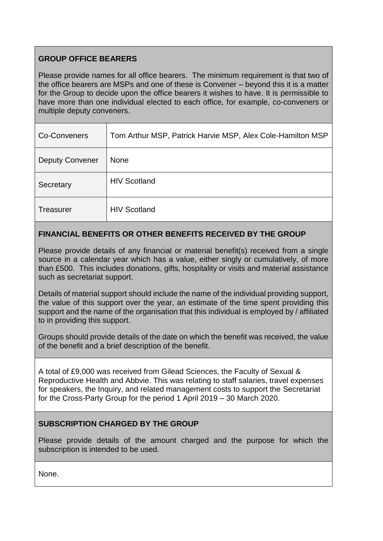# **GROUP OFFICE BEARERS**

Please provide names for all office bearers. The minimum requirement is that two of the office bearers are MSPs and one of these is Convener – beyond this it is a matter for the Group to decide upon the office bearers it wishes to have. It is permissible to have more than one individual elected to each office, for example, co-conveners or multiple deputy conveners.

| Co-Conveners           | Tom Arthur MSP, Patrick Harvie MSP, Alex Cole-Hamilton MSP |
|------------------------|------------------------------------------------------------|
| <b>Deputy Convener</b> | <b>None</b>                                                |
| Secretary              | <b>HIV Scotland</b>                                        |
| Treasurer              | <b>HIV Scotland</b>                                        |

# **FINANCIAL BENEFITS OR OTHER BENEFITS RECEIVED BY THE GROUP**

Please provide details of any financial or material benefit(s) received from a single source in a calendar year which has a value, either singly or cumulatively, of more than £500. This includes donations, gifts, hospitality or visits and material assistance such as secretariat support.

Details of material support should include the name of the individual providing support, the value of this support over the year, an estimate of the time spent providing this support and the name of the organisation that this individual is employed by / affiliated to in providing this support.

Groups should provide details of the date on which the benefit was received, the value of the benefit and a brief description of the benefit.

A total of £9,000 was received from Gilead Sciences, the Faculty of Sexual & Reproductive Health and Abbvie. This was relating to staff salaries, travel expenses for speakers, the Inquiry, and related management costs to support the Secretariat for the Cross-Party Group for the period 1 April 2019 – 30 March 2020.

### **SUBSCRIPTION CHARGED BY THE GROUP**

Please provide details of the amount charged and the purpose for which the subscription is intended to be used.

None.